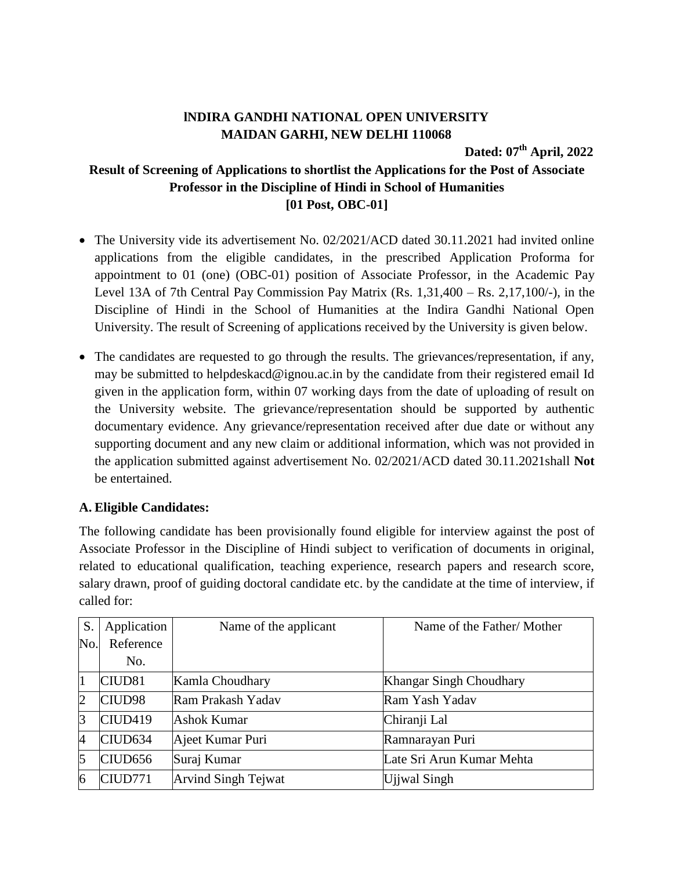## **lNDIRA GANDHI NATIONAL OPEN UNIVERSITY MAIDAN GARHI, NEW DELHI 110068**

**Dated: 07 th April, 2022**

## **Result of Screening of Applications to shortlist the Applications for the Post of Associate Professor in the Discipline of Hindi in School of Humanities [01 Post, OBC-01]**

- The University vide its advertisement No. 02/2021/ACD dated 30.11.2021 had invited online applications from the eligible candidates, in the prescribed Application Proforma for appointment to 01 (one) (OBC-01) position of Associate Professor, in the Academic Pay Level 13A of 7th Central Pay Commission Pay Matrix (Rs. 1,31,400 – Rs. 2,17,100/-), in the Discipline of Hindi in the School of Humanities at the Indira Gandhi National Open University. The result of Screening of applications received by the University is given below.
- The candidates are requested to go through the results. The grievances/representation, if any, may be submitted to helpdeskacd@ignou.ac.in by the candidate from their registered email Id given in the application form, within 07 working days from the date of uploading of result on the University website. The grievance/representation should be supported by authentic documentary evidence. Any grievance/representation received after due date or without any supporting document and any new claim or additional information, which was not provided in the application submitted against advertisement No. 02/2021/ACD dated 30.11.2021shall **Not** be entertained.

## **A. Eligible Candidates:**

The following candidate has been provisionally found eligible for interview against the post of Associate Professor in the Discipline of Hindi subject to verification of documents in original, related to educational qualification, teaching experience, research papers and research score, salary drawn, proof of guiding doctoral candidate etc. by the candidate at the time of interview, if called for:

| S.             | Application         | Name of the applicant      | Name of the Father/Mother |
|----------------|---------------------|----------------------------|---------------------------|
| No.            | Reference           |                            |                           |
|                | No.                 |                            |                           |
| 1              | CIUD <sub>81</sub>  | Kamla Choudhary            | Khangar Singh Choudhary   |
| $\overline{2}$ | CIUD98              | Ram Prakash Yadav          | Ram Yash Yadav            |
| 3              | CIUD419             | Ashok Kumar                | Chiranji Lal              |
| $\overline{4}$ | CIUD <sub>634</sub> | Ajeet Kumar Puri           | Ramnarayan Puri           |
| 5              | CIUD <sub>656</sub> | Suraj Kumar                | Late Sri Arun Kumar Mehta |
| 6              | CIUD771             | <b>Arvind Singh Tejwat</b> | Ujiwal Singh              |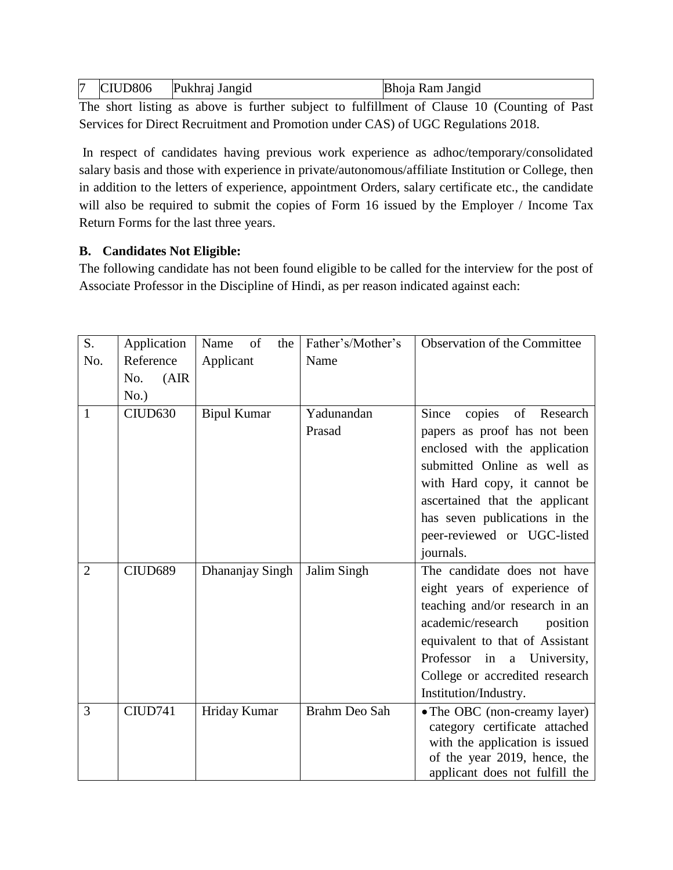| 17 | CIUD <sub>806</sub> | Pukhraj Jangid | Bhoja Ram Jangid |
|----|---------------------|----------------|------------------|
|----|---------------------|----------------|------------------|

The short listing as above is further subject to fulfillment of Clause 10 (Counting of Past Services for Direct Recruitment and Promotion under CAS) of UGC Regulations 2018.

In respect of candidates having previous work experience as adhoc/temporary/consolidated salary basis and those with experience in private/autonomous/affiliate Institution or College, then in addition to the letters of experience, appointment Orders, salary certificate etc., the candidate will also be required to submit the copies of Form 16 issued by the Employer / Income Tax Return Forms for the last three years.

## **B. Candidates Not Eligible:**

The following candidate has not been found eligible to be called for the interview for the post of Associate Professor in the Discipline of Hindi, as per reason indicated against each:

| S.             | Application  | of<br>Name<br>the  | Father's/Mother's    | Observation of the Committee                                                                                                                                                                                                                                                     |
|----------------|--------------|--------------------|----------------------|----------------------------------------------------------------------------------------------------------------------------------------------------------------------------------------------------------------------------------------------------------------------------------|
| No.            | Reference    | Applicant          | Name                 |                                                                                                                                                                                                                                                                                  |
|                | (AIR)<br>No. |                    |                      |                                                                                                                                                                                                                                                                                  |
|                | No.)         |                    |                      |                                                                                                                                                                                                                                                                                  |
| 1              | CIUD630      | <b>Bipul Kumar</b> | Yadunandan<br>Prasad | of<br>Since<br>copies<br>Research<br>papers as proof has not been<br>enclosed with the application<br>submitted Online as well as<br>with Hard copy, it cannot be<br>ascertained that the applicant<br>has seven publications in the<br>peer-reviewed or UGC-listed<br>journals. |
| $\overline{2}$ | CIUD689      | Dhananjay Singh    | Jalim Singh          | The candidate does not have<br>eight years of experience of<br>teaching and/or research in an<br>academic/research<br>position<br>equivalent to that of Assistant<br>Professor<br>in a University,<br>College or accredited research<br>Institution/Industry.                    |
| 3              | CIUD741      | Hriday Kumar       | Brahm Deo Sah        | • The OBC (non-creamy layer)<br>category certificate attached<br>with the application is issued<br>of the year 2019, hence, the<br>applicant does not fulfill the                                                                                                                |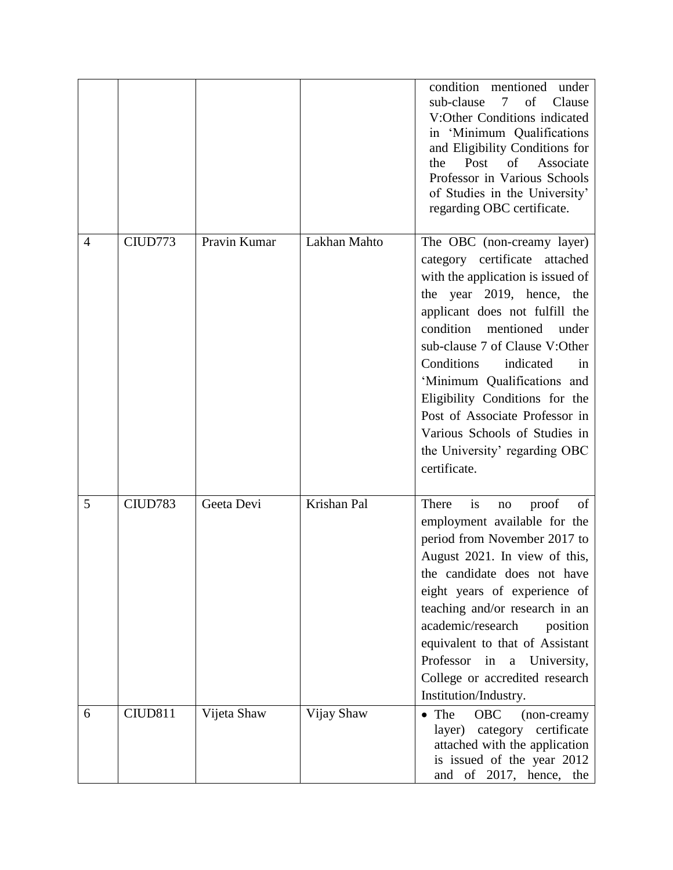|                |         |              |              | condition mentioned<br>under<br>sub-clause<br>$\tau$<br>of<br>Clause<br>V:Other Conditions indicated<br>in 'Minimum Qualifications<br>and Eligibility Conditions for<br>Post<br>of<br>Associate<br>the<br>Professor in Various Schools<br>of Studies in the University'<br>regarding OBC certificate.                                                                                                                                                      |
|----------------|---------|--------------|--------------|------------------------------------------------------------------------------------------------------------------------------------------------------------------------------------------------------------------------------------------------------------------------------------------------------------------------------------------------------------------------------------------------------------------------------------------------------------|
| $\overline{4}$ | CIUD773 | Pravin Kumar | Lakhan Mahto | The OBC (non-creamy layer)<br>category certificate attached<br>with the application is issued of<br>the year 2019, hence, the<br>applicant does not fulfill the<br>condition<br>mentioned<br>under<br>sub-clause 7 of Clause V:Other<br>Conditions<br>indicated<br>in<br>'Minimum Qualifications and<br>Eligibility Conditions for the<br>Post of Associate Professor in<br>Various Schools of Studies in<br>the University' regarding OBC<br>certificate. |
| 5              | CIUD783 | Geeta Devi   | Krishan Pal  | There<br>is<br>of<br>proof<br>$\rm no$<br>employment available for the<br>period from November 2017 to<br>August 2021. In view of this,<br>the candidate does not have<br>eight years of experience of<br>teaching and/or research in an<br>academic/research<br>position<br>equivalent to that of Assistant<br>Professor<br>in<br>a University,<br>College or accredited research<br>Institution/Industry.                                                |
| 6              | CIUD811 | Vijeta Shaw  | Vijay Shaw   | • The<br>OBC<br>(non-creamy<br>layer) category certificate<br>attached with the application<br>is issued of the year 2012<br>and of 2017, hence, the                                                                                                                                                                                                                                                                                                       |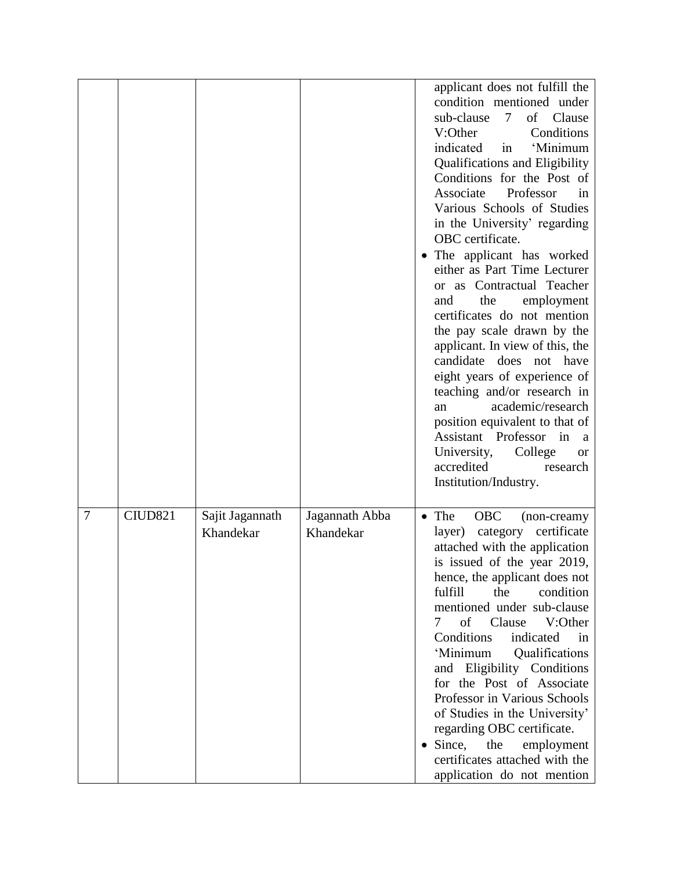|   |         |                              |                             | applicant does not fulfill the<br>condition mentioned under<br>sub-clause<br>7 <sup>1</sup><br>Clause<br>of<br>V:Other<br>Conditions<br>indicated<br>in<br>'Minimum<br><b>Qualifications and Eligibility</b><br>Conditions for the Post of<br>Associate<br>Professor<br>in<br>Various Schools of Studies<br>in the University' regarding<br>OBC certificate.<br>The applicant has worked<br>either as Part Time Lecturer<br>or as Contractual Teacher<br>the<br>employment<br>and<br>certificates do not mention<br>the pay scale drawn by the<br>applicant. In view of this, the<br>candidate does not have<br>eight years of experience of<br>teaching and/or research in<br>academic/research<br>an<br>position equivalent to that of<br>Assistant Professor in<br>a<br>University,<br>College<br><b>or</b><br>accredited<br>research<br>Institution/Industry. |
|---|---------|------------------------------|-----------------------------|-------------------------------------------------------------------------------------------------------------------------------------------------------------------------------------------------------------------------------------------------------------------------------------------------------------------------------------------------------------------------------------------------------------------------------------------------------------------------------------------------------------------------------------------------------------------------------------------------------------------------------------------------------------------------------------------------------------------------------------------------------------------------------------------------------------------------------------------------------------------|
| 7 | CIUD821 | Sajit Jagannath<br>Khandekar | Jagannath Abba<br>Khandekar | $\bullet$ The<br><b>OBC</b><br>(non-creamy<br>category certificate<br>layer)<br>attached with the application<br>is issued of the year 2019,<br>hence, the applicant does not<br>fulfill<br>condition<br>the<br>mentioned under sub-clause<br>of Clause<br>V:Other<br>7<br>indicated<br>Conditions<br>in<br>'Minimum<br>Qualifications<br>and Eligibility Conditions<br>for the Post of Associate<br>Professor in Various Schools<br>of Studies in the University'<br>regarding OBC certificate.<br>$\bullet$ Since,<br>the<br>employment<br>certificates attached with the<br>application do not mention                                                                                                                                                                                                                                                         |